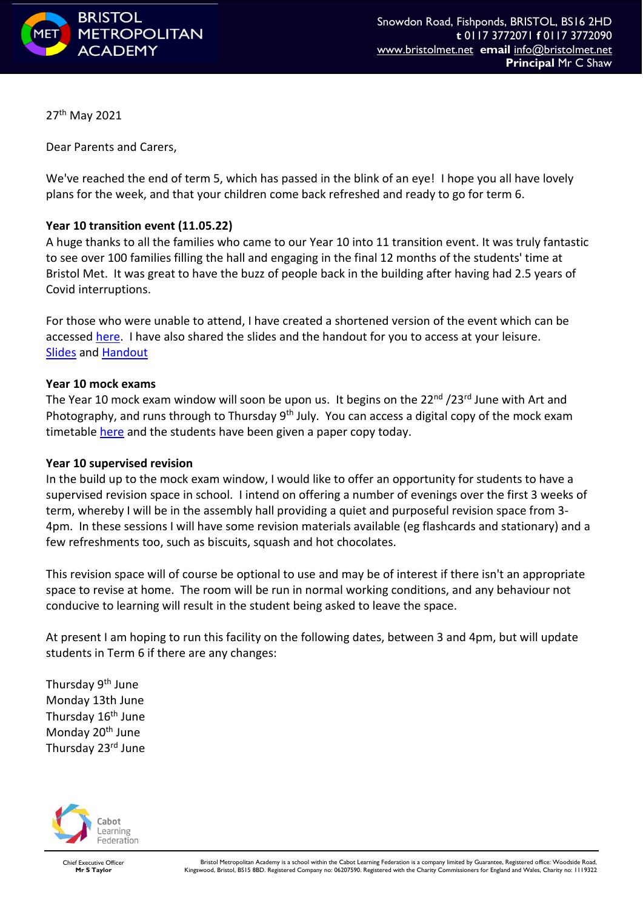

27th May 2021

Dear Parents and Carers,

We've reached the end of term 5, which has passed in the blink of an eye! I hope you all have lovely plans for the week, and that your children come back refreshed and ready to go for term 6.

## **Year 10 transition event (11.05.22)**

A huge thanks to all the families who came to our Year 10 into 11 transition event. It was truly fantastic to see over 100 families filling the hall and engaging in the final 12 months of the students' time at Bristol Met. It was great to have the buzz of people back in the building after having had 2.5 years of Covid interruptions.

For those who were unable to attend, I have created a shortened version of the event which can be accessed [here.](https://youtu.be/mXxOUHyiEyY) I have also shared the slides and the handout for you to access at your leisure. [Slides](https://bristolmetropolitanacademy.clf.uk/wp-content/uploads/7.1-Parent-Transition-Event-11.05.22-slides.pdf) and [Handout](https://bristolmetropolitanacademy.clf.uk/wp-content/uploads/7.2-Year-10-into-11-transition-evening-parent-info-sheet.pdf)

## **Year 10 mock exams**

The Year 10 mock exam window will soon be upon us. It begins on the 22<sup>nd</sup> /23<sup>rd</sup> June with Art and Photography, and runs through to Thursday 9<sup>th</sup> July. You can access a digital copy of the mock exam timetable [here](https://bristolmetropolitanacademy.clf.uk/wp-content/uploads/Exam-Timetable-Year-10-June-2022-v2.pdf) and the students have been given a paper copy today.

## **Year 10 supervised revision**

In the build up to the mock exam window, I would like to offer an opportunity for students to have a supervised revision space in school. I intend on offering a number of evenings over the first 3 weeks of term, whereby I will be in the assembly hall providing a quiet and purposeful revision space from 3- 4pm. In these sessions I will have some revision materials available (eg flashcards and stationary) and a few refreshments too, such as biscuits, squash and hot chocolates.

This revision space will of course be optional to use and may be of interest if there isn't an appropriate space to revise at home. The room will be run in normal working conditions, and any behaviour not conducive to learning will result in the student being asked to leave the space.

At present I am hoping to run this facility on the following dates, between 3 and 4pm, but will update students in Term 6 if there are any changes:

Thursday 9<sup>th</sup> June Monday 13th June Thursday 16<sup>th</sup> June Monday 20<sup>th</sup> June Thursday 23rd June



Chief Executive Officer **Mr S Taylor**